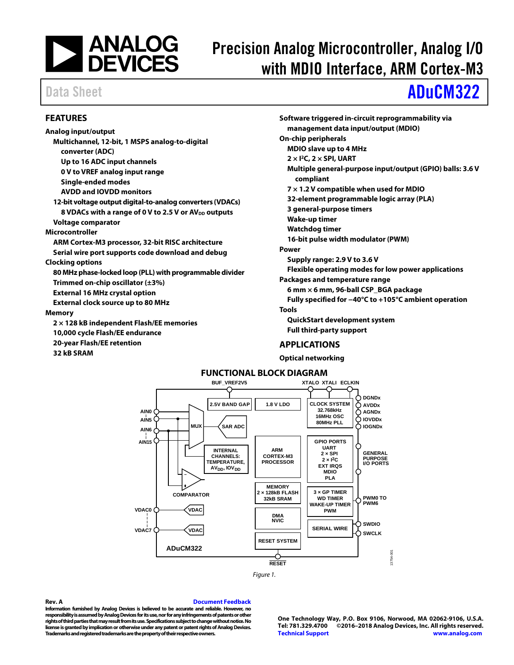

# Precision Analog Microcontroller, Analog I/O with MDIO Interface, ARM Cortex-M3

# Data Sheet **[ADuCM322](http://www.analog.com/ADuCM322?doc=ADuCM322.pdf)**

### <span id="page-0-0"></span>**FEATURES**

**Analog input/output Multichannel, 12-bit, 1 MSPS analog-to-digital converter (ADC) Up to 16 ADC input channels 0 V to VREF analog input range Single-ended modes AVDD and IOVDD monitors 12-bit voltage output digital-to-analog converters (VDACs)** 8 VDACs with a range of 0 V to 2.5 V or AV<sub>DD</sub> outputs **Voltage comparator Microcontroller ARM Cortex-M3 processor, 32-bit RISC architecture Serial wire port supports code download and debug Clocking options 80 MHz phase-locked loop (PLL) with programmable divider Trimmed on-chip oscillator (±3%) External 16 MHz crystal option External clock source up to 80 MHz Memory 2 × 128 kB independent Flash/EE memories 10,000 cycle Flash/EE endurance 20-year Flash/EE retention 32 kB SRAM** 

**Software triggered in-circuit reprogrammability via management data input/output (MDIO) On-chip peripherals MDIO slave up to 4 MHz 2 × I2C, 2 × SPI, UART Multiple general-purpose input/output (GPIO) balls: 3.6 V compliant 7 × 1.2 V compatible when used for MDIO 32-element programmable logic array (PLA) 3 general-purpose timers Wake-up timer Watchdog timer 16-bit pulse width modulator (PWM) Power Supply range: 2.9 V to 3.6 V Flexible operating modes for low power applications Packages and temperature range 6 mm × 6 mm, 96-ball CSP\_BGA package Fully specified for −40°C to +105°C ambient operation Tools QuickStart development system Full third-party support**

### <span id="page-0-1"></span>**APPLICATIONS**

**Optical networking**

<span id="page-0-2"></span>



### **Rev. A [Document Feedback](https://form.analog.com/Form_Pages/feedback/documentfeedback.aspx?doc=ADuCM322.pdf&product=ADuCM322&rev=A)**

**Information furnished by Analog Devices is believed to be accurate and reliable. However, no**  responsibility is assumed by Analog Devices for its use, nor for any infringements of patents or other **rights of third parties that may result from its use. Specifications subject to change without notice. No license is granted by implication or otherwise under any patent or patent rights of Analog Devices. Trademarks and registered trademarks are the property of their respective owners.**

**One Technology Way, P.O. Box 9106, Norwood, MA 02062-9106, U.S.A. Tel: 781.329.4700 ©2016–2018 Analog Devices, Inc. All rights reserved. [Technical Support](http://www.analog.com/en/content/technical_support_page/fca.html) [www.analog.com](http://www.analog.com/)**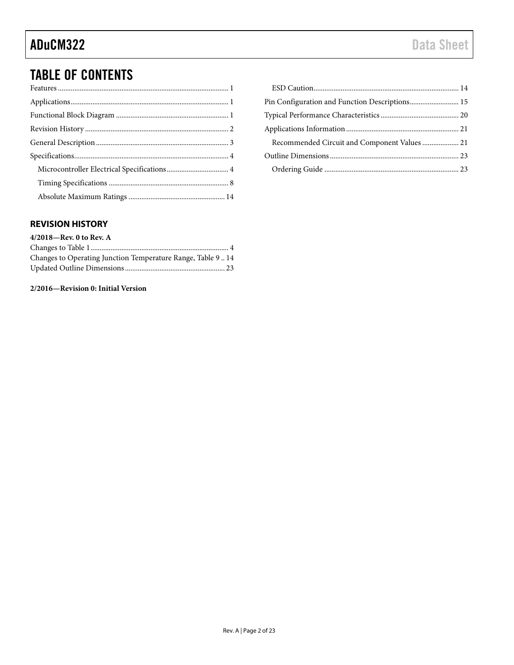## TABLE OF CONTENTS

| Recommended Circuit and Component Values 21 |  |
|---------------------------------------------|--|
|                                             |  |
|                                             |  |

### <span id="page-1-0"></span>**REVISION HISTORY**

### **4/2018—Rev. 0 to Rev. A** Changes to Table 1............................................................................ 4 Changes to Operating Junction Temperature Range, Table 9 .. 14 Updated Outline Dimensions....................................................... 23

### **2/2016—Revision 0: Initial Version**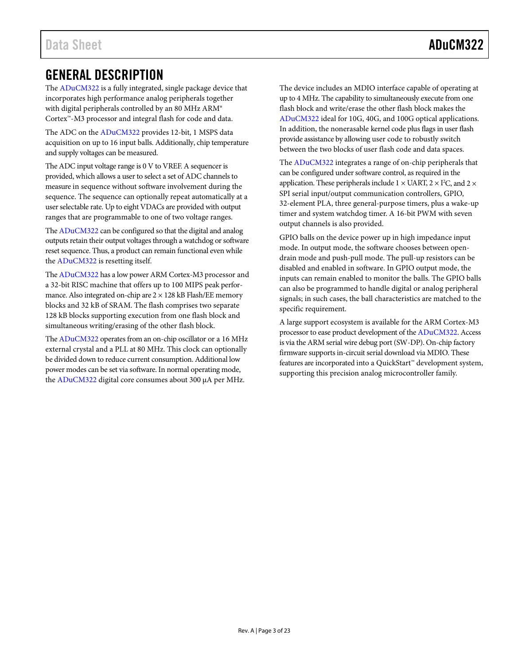## <span id="page-2-0"></span>GENERAL DESCRIPTION

The [ADuCM322](http://www.analog.com/ADuCM322?doc=ADuCM322.pdf) is a fully integrated, single package device that incorporates high performance analog peripherals together with digital peripherals controlled by an 80 MHz ARM® Cortex™-M3 processor and integral flash for code and data.

The ADC on th[e ADuCM322](http://www.analog.com/ADuCM322?doc=ADuCM322.pdf) provides 12-bit, 1 MSPS data acquisition on up to 16 input balls. Additionally, chip temperature and supply voltages can be measured.

The ADC input voltage range is 0 V to VREF. A sequencer is provided, which allows a user to select a set of ADC channels to measure in sequence without software involvement during the sequence. The sequence can optionally repeat automatically at a user selectable rate. Up to eight VDACs are provided with output ranges that are programmable to one of two voltage ranges.

Th[e ADuCM322](http://www.analog.com/ADuCM322?doc=ADuCM322.pdf) can be configured so that the digital and analog outputs retain their output voltages through a watchdog or software reset sequence. Thus, a product can remain functional even while the [ADuCM322](http://www.analog.com/ADuCM322?doc=ADuCM322.pdf) is resetting itself.

Th[e ADuCM322](http://www.analog.com/ADuCM322?doc=ADuCM322.pdf) has a low power ARM Cortex-M3 processor and a 32-bit RISC machine that offers up to 100 MIPS peak performance. Also integrated on-chip are  $2 \times 128$  kB Flash/EE memory blocks and 32 kB of SRAM. The flash comprises two separate 128 kB blocks supporting execution from one flash block and simultaneous writing/erasing of the other flash block.

Th[e ADuCM322](http://www.analog.com/ADuCM322?doc=ADuCM322.pdf) operates from an on-chip oscillator or a 16 MHz external crystal and a PLL at 80 MHz. This clock can optionally be divided down to reduce current consumption. Additional low power modes can be set via software. In normal operating mode, th[e ADuCM322](http://www.analog.com/ADuCM322?doc=ADuCM322.pdf) digital core consumes about 300 µA per MHz.

The device includes an MDIO interface capable of operating at up to 4 MHz. The capability to simultaneously execute from one flash block and write/erase the other flash block makes the [ADuCM322](http://www.analog.com/ADuCM322?doc=ADuCM322.pdf) ideal for 10G, 40G, and 100G optical applications. In addition, the nonerasable kernel code plus flags in user flash provide assistance by allowing user code to robustly switch between the two blocks of user flash code and data spaces.

Th[e ADuCM322](http://www.analog.com/ADuCM322?doc=ADuCM322.pdf) integrates a range of on-chip peripherals that can be configured under software control, as required in the application. These peripherals include  $1 \times \text{UART}, 2 \times \text{I}^2\text{C},$  and  $2 \times$ SPI serial input/output communication controllers, GPIO, 32-element PLA, three general-purpose timers, plus a wake-up timer and system watchdog timer. A 16-bit PWM with seven output channels is also provided.

GPIO balls on the device power up in high impedance input mode. In output mode, the software chooses between opendrain mode and push-pull mode. The pull-up resistors can be disabled and enabled in software. In GPIO output mode, the inputs can remain enabled to monitor the balls. The GPIO balls can also be programmed to handle digital or analog peripheral signals; in such cases, the ball characteristics are matched to the specific requirement.

A large support ecosystem is available for the ARM Cortex-M3 processor to ease product development of th[e ADuCM322.](http://www.analog.com/ADuCM322?doc=ADuCM322.pdf) Access is via the ARM serial wire debug port (SW-DP). On-chip factory firmware supports in-circuit serial download via MDIO. These features are incorporated into a QuickStart™ development system, supporting this precision analog microcontroller family.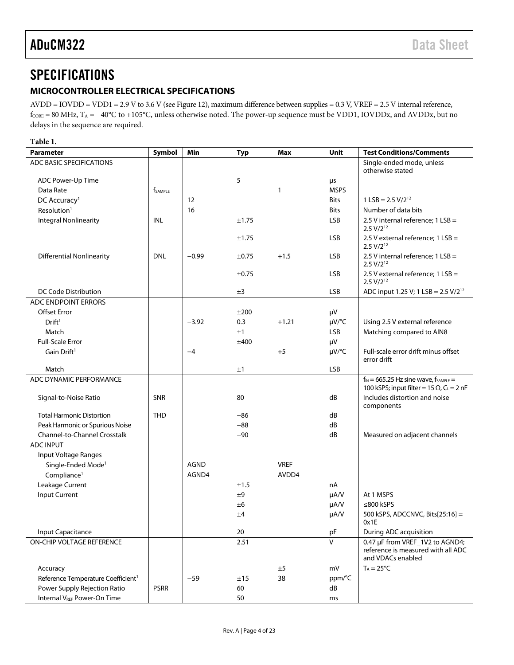## <span id="page-3-0"></span>**SPECIFICATIONS**

### <span id="page-3-1"></span>**MICROCONTROLLER ELECTRICAL SPECIFICATIONS**

AVDD = IOVDD = VDD1 = 2.9 V to 3.6 V (see [Figure 12\)](#page-19-1), maximum difference between supplies = 0.3 V, VREF = 2.5 V internal reference, f<sub>CORE</sub> = 80 MHz, T<sub>A</sub> = −40°C to +105°C, unless otherwise noted. The power-up sequence must be VDD1, IOVDDx, and AVDDx, but no delays in the sequence are required.

<span id="page-3-2"></span>

| Parameter                                      | Symbol                     | Min         | <b>Typ</b> | Max          | Unit        | <b>Test Conditions/Comments</b>                                                            |
|------------------------------------------------|----------------------------|-------------|------------|--------------|-------------|--------------------------------------------------------------------------------------------|
| ADC BASIC SPECIFICATIONS                       |                            |             |            |              |             | Single-ended mode, unless                                                                  |
|                                                |                            |             |            |              |             | otherwise stated                                                                           |
| ADC Power-Up Time                              |                            |             | 5          |              | μs          |                                                                                            |
| Data Rate                                      | <b>f</b> <sub>SAMPLE</sub> |             |            | $\mathbf{1}$ | <b>MSPS</b> |                                                                                            |
| DC Accuracy <sup>1</sup>                       |                            | 12          |            |              | <b>Bits</b> | $1$ LSB = 2.5 V/2 <sup>12</sup>                                                            |
| Resolution <sup>1</sup>                        |                            | 16          |            |              | <b>Bits</b> | Number of data bits                                                                        |
| <b>Integral Nonlinearity</b>                   | INL                        |             | ±1.75      |              | <b>LSB</b>  | 2.5 V internal reference; $1$ LSB =<br>$2.5 V/2^{12}$                                      |
|                                                |                            |             | ±1.75      |              | <b>LSB</b>  | 2.5 V external reference; 1 LSB =<br>$2.5 V/2^{12}$                                        |
| <b>Differential Nonlinearity</b>               | <b>DNL</b>                 | $-0.99$     | $\pm 0.75$ | $+1.5$       | <b>LSB</b>  | 2.5 V internal reference; 1 LSB =<br>$2.5 V/2^{12}$                                        |
|                                                |                            |             | $\pm 0.75$ |              | <b>LSB</b>  | 2.5 V external reference; 1 LSB =<br>$2.5 V/2^{12}$                                        |
| DC Code Distribution                           |                            |             | ±3         |              | <b>LSB</b>  | ADC input 1.25 V; 1 LSB = 2.5 V/2 <sup>12</sup>                                            |
| <b>ADC ENDPOINT ERRORS</b>                     |                            |             |            |              |             |                                                                                            |
| <b>Offset Error</b>                            |                            |             | ±200       |              | μV          |                                                                                            |
| Drift <sup>1</sup>                             |                            | $-3.92$     | 0.3        | $+1.21$      | $\mu V$ /°C | Using 2.5 V external reference                                                             |
| Match                                          |                            |             | ±1         |              | <b>LSB</b>  | Matching compared to AIN8                                                                  |
| <b>Full-Scale Error</b>                        |                            |             | ±400       |              | μV          |                                                                                            |
| Gain Drift <sup>1</sup>                        |                            | $-4$        |            | $+5$         | $\mu V$ /°C | Full-scale error drift minus offset<br>error drift                                         |
| Match                                          |                            |             | ±1         |              | <b>LSB</b>  |                                                                                            |
| ADC DYNAMIC PERFORMANCE                        |                            |             |            |              |             | $f_{IN} = 665.25$ Hz sine wave, $f_{SAMPLE} =$                                             |
|                                                |                            |             |            |              |             | 100 kSPS; input filter = 15 $\Omega$ , C <sub>L</sub> = 2 nF                               |
| Signal-to-Noise Ratio                          | <b>SNR</b>                 |             | 80         |              | dB          | Includes distortion and noise<br>components                                                |
| <b>Total Harmonic Distortion</b>               | <b>THD</b>                 |             | -86        |              | dB          |                                                                                            |
| Peak Harmonic or Spurious Noise                |                            |             | $-88$      |              | dB          |                                                                                            |
| <b>Channel-to-Channel Crosstalk</b>            |                            |             | $-90$      |              | dB          | Measured on adjacent channels                                                              |
| <b>ADC INPUT</b>                               |                            |             |            |              |             |                                                                                            |
| Input Voltage Ranges                           |                            |             |            |              |             |                                                                                            |
| Single-Ended Mode <sup>1</sup>                 |                            | <b>AGND</b> |            | <b>VREF</b>  |             |                                                                                            |
| Compliance <sup>1</sup>                        |                            | AGND4       |            | AVDD4        |             |                                                                                            |
| Leakage Current                                |                            |             | ±1.5       |              | nA          |                                                                                            |
| Input Current                                  |                            |             | ±9         |              | $\mu A/V$   | At 1 MSPS                                                                                  |
|                                                |                            |             | ±6         |              | µA/V        | ≤800 kSPS                                                                                  |
|                                                |                            |             | ±4         |              | µA/V        | 500 kSPS, ADCCNVC, Bits[25:16] =<br>0x1F                                                   |
| Input Capacitance                              |                            |             | 20         |              | pF          | During ADC acquisition                                                                     |
| ON-CHIP VOLTAGE REFERENCE                      |                            |             | 2.51       |              | $\vee$      | 0.47 µF from VREF_1V2 to AGND4;<br>reference is measured with all ADC<br>and VDACs enabled |
| Accuracy                                       |                            |             |            | ±5           | mV          | $T_A = 25^{\circ}C$                                                                        |
| Reference Temperature Coefficient <sup>1</sup> |                            | $-59$       | ±15        | 38           | ppm/°C      |                                                                                            |
| Power Supply Rejection Ratio                   | <b>PSRR</b>                |             | 60         |              | dB          |                                                                                            |
| Internal VREF Power-On Time                    |                            |             | 50         |              | ms          |                                                                                            |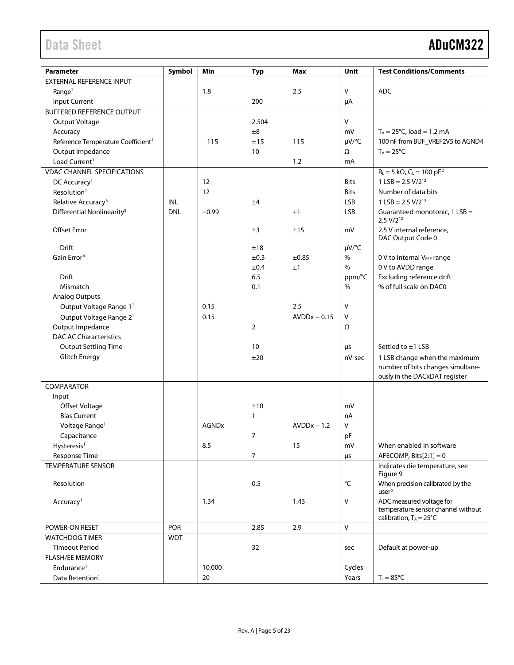| Parameter                                      | Symbol     | Min          | <b>Typ</b>     | Max            | Unit              | <b>Test Conditions/Comments</b>            |
|------------------------------------------------|------------|--------------|----------------|----------------|-------------------|--------------------------------------------|
| EXTERNAL REFERENCE INPUT                       |            |              |                |                |                   |                                            |
| Range <sup>1</sup>                             |            | 1.8          |                | 2.5            | $\mathsf{V}$      | ADC                                        |
| Input Current                                  |            |              | 200            |                | μA                |                                            |
| <b>BUFFERED REFERENCE OUTPUT</b>               |            |              |                |                |                   |                                            |
| Output Voltage                                 |            |              | 2.504          |                | $\vee$            |                                            |
| Accuracy                                       |            |              | ±8             |                | mV                | $T_A = 25^{\circ}C$ , load = 1.2 mA        |
| Reference Temperature Coefficient <sup>1</sup> |            | $-115$       | ±15            | 115            | $\mu V$ /°C       | 100 nF from BUF_VREF2V5 to AGND4           |
| Output Impedance                               |            |              | 10             |                | Ω                 | $T_A = 25^{\circ}C$                        |
| Load Current <sup>1</sup>                      |            |              |                | 1.2            | mA                |                                            |
| <b>VDAC CHANNEL SPECIFICATIONS</b>             |            |              |                |                |                   | $R_{L} = 5 k\Omega$ , $C_{L} = 100 pF^{2}$ |
| DC Accuracy <sup>1</sup>                       |            | 12           |                |                | <b>Bits</b>       | $1$ LSB = 2.5 V/2 <sup>12</sup>            |
| Resolution <sup>1</sup>                        |            | 12           |                |                | Bits              | Number of data bits                        |
| Relative Accuracy <sup>3</sup>                 | INL        |              | ±4             |                | <b>LSB</b>        | $1$ LSB = 2.5 V/2 <sup>12</sup>            |
| Differential Nonlinearity <sup>3</sup>         | <b>DNL</b> | $-0.99$      |                | $+1$           | <b>LSB</b>        | Guaranteed monotonic, 1 LSB =              |
|                                                |            |              |                |                |                   | $2.5 V/2^{12}$                             |
| Offset Error                                   |            |              | ±3             | ±15            | mV                | 2.5 V internal reference,                  |
|                                                |            |              |                |                |                   | DAC Output Code 0                          |
| Drift                                          |            |              | ±18            |                | $\mu V$ /°C       |                                            |
| Gain Error <sup>4</sup>                        |            |              | ±0.3           | ±0.85          | %                 | 0 V to internal VREF range                 |
|                                                |            |              | ±0.4           | ±1             | $\%$              | 0 V to AVDD range                          |
| Drift                                          |            |              | 6.5            |                | ppm/°C            | Excluding reference drift                  |
| Mismatch                                       |            |              | 0.1            |                | $\%$              | % of full scale on DAC0                    |
| <b>Analog Outputs</b>                          |            |              |                |                |                   |                                            |
| Output Voltage Range 1 <sup>1</sup>            |            | 0.15         |                | 2.5            | V                 |                                            |
| Output Voltage Range 2 <sup>1</sup>            |            | 0.15         |                | $AVDDx - 0.15$ | $\mathsf{V}$      |                                            |
| Output Impedance                               |            |              | $\overline{2}$ |                | Ω                 |                                            |
| <b>DAC AC Characteristics</b>                  |            |              |                |                |                   |                                            |
| <b>Output Settling Time</b>                    |            |              | 10             |                | μs                | Settled to ±1 LSB                          |
| <b>Glitch Energy</b>                           |            |              |                |                |                   | 1 LSB change when the maximum              |
|                                                |            |              | ±20            |                | nV-sec            | number of bits changes simultane-          |
|                                                |            |              |                |                |                   | ously in the DACxDAT register              |
| COMPARATOR                                     |            |              |                |                |                   |                                            |
| Input                                          |            |              |                |                |                   |                                            |
| Offset Voltage                                 |            |              | ±10            |                | mV                |                                            |
| <b>Bias Current</b>                            |            |              | 1              |                | nA                |                                            |
|                                                |            | <b>AGNDx</b> |                | $AVDDx - 1.2$  | V                 |                                            |
| Voltage Range <sup>1</sup>                     |            |              |                |                |                   |                                            |
| Capacitance                                    |            |              | 7              |                | pF                |                                            |
| Hysteresis <sup>1</sup>                        |            | 8.5          |                | 15             | mV                | When enabled in software                   |
| Response Time                                  |            |              | 7              |                | $\mu$ s           | AFECOMP, Bits $[2:1] = 0$                  |
| <b>TEMPERATURE SENSOR</b>                      |            |              |                |                |                   | Indicates die temperature, see<br>Figure 9 |
| Resolution                                     |            |              | 0.5            |                | $^{\circ}{\sf C}$ | When precision calibrated by the           |
|                                                |            |              |                |                |                   | user <sup>5</sup>                          |
| Accuracy <sup>1</sup>                          |            | 1.34         |                | 1.43           | $\mathsf{V}$      | ADC measured voltage for                   |
|                                                |            |              |                |                |                   | temperature sensor channel without         |
|                                                |            |              |                |                |                   | calibration, $T_A = 25^{\circ}C$           |
| POWER-ON RESET                                 | POR        |              | 2.85           | 2.9            | $\vee$            |                                            |
| <b>WATCHDOG TIMER</b>                          | <b>WDT</b> |              |                |                |                   |                                            |
| <b>Timeout Period</b>                          |            |              | 32             |                | sec               | Default at power-up                        |
| <b>FLASH/EE MEMORY</b>                         |            |              |                |                |                   |                                            |
| Endurance <sup>1</sup>                         |            | 10,000       |                |                | Cycles            |                                            |
| Data Retention <sup>1</sup>                    |            | 20           |                |                | Years             | $T_J = 85^{\circ}C$                        |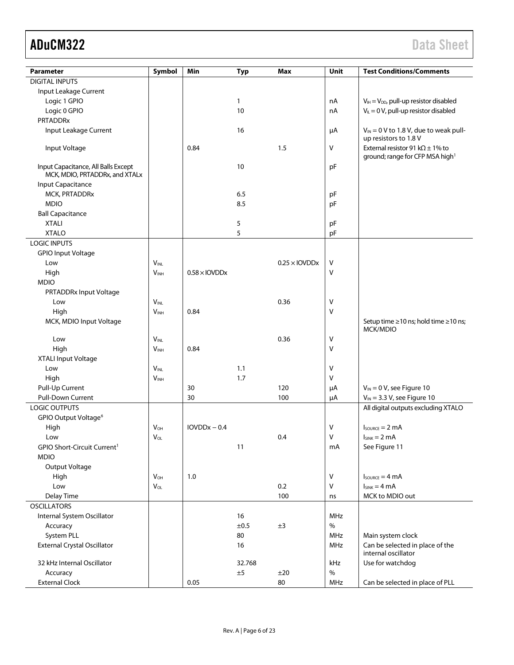| Parameter                                                             | Symbol           | Min                              | Typ          | Max                  | Unit | <b>Test Conditions/Comments</b>                  |
|-----------------------------------------------------------------------|------------------|----------------------------------|--------------|----------------------|------|--------------------------------------------------|
| <b>DIGITAL INPUTS</b>                                                 |                  |                                  |              |                      |      |                                                  |
| Input Leakage Current                                                 |                  |                                  |              |                      |      |                                                  |
| Logic 1 GPIO                                                          |                  |                                  | $\mathbf{1}$ |                      | nA   | $V_{IH} = V_{DD}$ , pull-up resistor disabled    |
| Logic 0 GPIO                                                          |                  |                                  | 10           |                      | nA   | $V_{\parallel} = 0$ V, pull-up resistor disabled |
| <b>PRTADDRx</b>                                                       |                  |                                  |              |                      |      |                                                  |
| Input Leakage Current                                                 |                  |                                  | 16           |                      | μA   | $V_{IN}$ = 0 V to 1.8 V, due to weak pull-       |
|                                                                       |                  |                                  |              |                      |      | up resistors to 1.8 V                            |
| Input Voltage                                                         |                  | 0.84                             |              | 1.5                  | V    | External resistor 91 k $\Omega$ ± 1% to          |
|                                                                       |                  |                                  |              |                      |      | ground; range for CFP MSA high <sup>1</sup>      |
| Input Capacitance, All Balls Except<br>MCK, MDIO, PRTADDRx, and XTALx |                  |                                  | 10           |                      | pF   |                                                  |
| Input Capacitance                                                     |                  |                                  |              |                      |      |                                                  |
| MCK, PRTADDRx                                                         |                  |                                  | 6.5          |                      | рF   |                                                  |
| <b>MDIO</b>                                                           |                  |                                  | 8.5          |                      | pF   |                                                  |
| <b>Ball Capacitance</b>                                               |                  |                                  |              |                      |      |                                                  |
| <b>XTALI</b>                                                          |                  |                                  | 5            |                      | pF   |                                                  |
| <b>XTALO</b>                                                          |                  |                                  | 5            |                      | pF   |                                                  |
| <b>LOGIC INPUTS</b>                                                   |                  |                                  |              |                      |      |                                                  |
| <b>GPIO Input Voltage</b>                                             |                  |                                  |              |                      |      |                                                  |
| Low                                                                   | $V_{INL}$        |                                  |              | $0.25 \times$ IOVDDx | ٧    |                                                  |
| High                                                                  | $V_{INH}$        | $0.58 \times$ IOVDD <sub>X</sub> |              |                      | v    |                                                  |
| <b>MDIO</b>                                                           |                  |                                  |              |                      |      |                                                  |
| PRTADDRx Input Voltage                                                |                  |                                  |              |                      |      |                                                  |
| Low                                                                   | <b>VINL</b>      |                                  |              | 0.36                 | ٧    |                                                  |
| High                                                                  | V <sub>INH</sub> | 0.84                             |              |                      | V    |                                                  |
| MCK, MDIO Input Voltage                                               |                  |                                  |              |                      |      | Setup time ≥10 ns; hold time ≥10 ns;             |
|                                                                       |                  |                                  |              |                      |      | MCK/MDIO                                         |
| Low                                                                   | $V_{INL}$        |                                  |              | 0.36                 | V    |                                                  |
| High                                                                  | V <sub>INH</sub> | 0.84                             |              |                      | V    |                                                  |
| XTALI Input Voltage                                                   |                  |                                  |              |                      |      |                                                  |
| Low                                                                   | <b>VINL</b>      |                                  | 1.1          |                      | V    |                                                  |
| High                                                                  | V <sub>INH</sub> |                                  | 1.7          |                      | V    |                                                  |
| Pull-Up Current                                                       |                  | 30                               |              | 120                  | μA   | $V_{IN} = 0 V$ , see Figure 10                   |
| Pull-Down Current                                                     |                  | 30                               |              | 100                  | μA   | $V_{IN}$ = 3.3 V, see Figure 10                  |
| <b>LOGIC OUTPUTS</b>                                                  |                  |                                  |              |                      |      | All digital outputs excluding XTALO              |
| GPIO Output Voltage <sup>6</sup>                                      |                  |                                  |              |                      |      |                                                  |
| High                                                                  | <b>V</b> он      | $IOVDDx - 0.4$                   |              |                      | V    | $I_{\text{SOWRCE}} = 2 \text{ mA}$               |
| Low                                                                   | $V_{OL}$         |                                  |              | 0.4                  | V    | $I_{SINK} = 2 mA$                                |
| GPIO Short-Circuit Current <sup>1</sup>                               |                  |                                  | 11           |                      | mA   | See Figure 11                                    |
| <b>MDIO</b>                                                           |                  |                                  |              |                      |      |                                                  |
| Output Voltage                                                        |                  |                                  |              |                      |      |                                                  |
| High                                                                  | $V_{OH}$         | 1.0                              |              |                      | v    | $I_{\text{SOWRCE}} = 4 \text{ mA}$               |
| Low                                                                   | $V_{OL}$         |                                  |              | 0.2                  | V    | $I_{SINK} = 4 mA$                                |
| Delay Time                                                            |                  |                                  |              | 100                  | ns   | MCK to MDIO out                                  |
| <b>OSCILLATORS</b>                                                    |                  |                                  |              |                      |      |                                                  |
| Internal System Oscillator                                            |                  |                                  | 16           |                      | MHz  |                                                  |
| Accuracy                                                              |                  |                                  | ±0.5         | ±3                   | $\%$ |                                                  |
| System PLL                                                            |                  |                                  | 80           |                      | MHz  | Main system clock                                |
| <b>External Crystal Oscillator</b>                                    |                  |                                  | 16           |                      | MHz  | Can be selected in place of the                  |
|                                                                       |                  |                                  |              |                      |      | internal oscillator                              |
| 32 kHz Internal Oscillator                                            |                  |                                  | 32.768       |                      | kHz  | Use for watchdog                                 |
| Accuracy                                                              |                  |                                  | ±5           | ±20                  | $\%$ |                                                  |
| <b>External Clock</b>                                                 |                  | 0.05                             |              | 80                   | MHz  | Can be selected in place of PLL                  |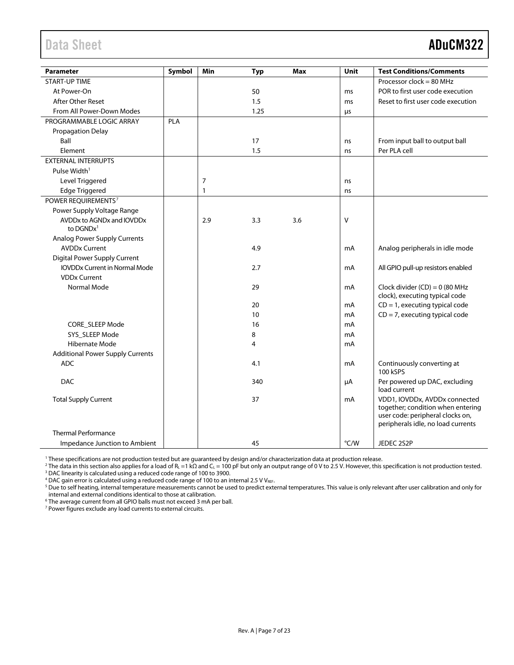<span id="page-6-0"></span>

| <b>Parameter</b>                        | Symbol | Min            | <b>Typ</b> | Max | <b>Unit</b> | <b>Test Conditions/Comments</b>                                                                                                              |
|-----------------------------------------|--------|----------------|------------|-----|-------------|----------------------------------------------------------------------------------------------------------------------------------------------|
| <b>START-UP TIME</b>                    |        |                |            |     |             | Processor clock = 80 MHz                                                                                                                     |
| At Power-On                             |        |                | 50         |     | ms          | POR to first user code execution                                                                                                             |
| After Other Reset                       |        |                | 1.5        |     | ms          | Reset to first user code execution                                                                                                           |
| From All Power-Down Modes               |        |                | 1.25       |     | μs          |                                                                                                                                              |
| PROGRAMMABLE LOGIC ARRAY                | PLA    |                |            |     |             |                                                                                                                                              |
| <b>Propagation Delay</b>                |        |                |            |     |             |                                                                                                                                              |
| Ball                                    |        |                | 17         |     | ns          | From input ball to output ball                                                                                                               |
| Element                                 |        |                | 1.5        |     | ns          | Per PLA cell                                                                                                                                 |
| <b>EXTERNAL INTERRUPTS</b>              |        |                |            |     |             |                                                                                                                                              |
| Pulse Width <sup>1</sup>                |        |                |            |     |             |                                                                                                                                              |
| Level Triggered                         |        | $\overline{7}$ |            |     | ns          |                                                                                                                                              |
| <b>Edge Triggered</b>                   |        | $\mathbf{1}$   |            |     | ns          |                                                                                                                                              |
| POWER REQUIREMENTS <sup>7</sup>         |        |                |            |     |             |                                                                                                                                              |
| Power Supply Voltage Range              |        |                |            |     |             |                                                                                                                                              |
| AVDDx to AGNDx and IOVDDx               |        | 2.9            | 3.3        | 3.6 | $\vee$      |                                                                                                                                              |
| to $DGNDx^1$                            |        |                |            |     |             |                                                                                                                                              |
| <b>Analog Power Supply Currents</b>     |        |                |            |     |             |                                                                                                                                              |
| <b>AVDDx Current</b>                    |        |                | 4.9        |     | mA          | Analog peripherals in idle mode                                                                                                              |
| Digital Power Supply Current            |        |                |            |     |             |                                                                                                                                              |
| <b>IOVDDx Current in Normal Mode</b>    |        |                | 2.7        |     | mA          | All GPIO pull-up resistors enabled                                                                                                           |
| <b>VDDx Current</b><br>Normal Mode      |        |                | 29         |     |             | Clock divider $(CD) = 0$ (80 MHz                                                                                                             |
|                                         |        |                |            |     | mA          | clock), executing typical code                                                                                                               |
|                                         |        |                | 20         |     | mA          | $CD = 1$ , executing typical code                                                                                                            |
|                                         |        |                | 10         |     | mA          | $CD = 7$ , executing typical code                                                                                                            |
| <b>CORE SLEEP Mode</b>                  |        |                | 16         |     | mA          |                                                                                                                                              |
| SYS SLEEP Mode                          |        |                | 8          |     | mA          |                                                                                                                                              |
| Hibernate Mode                          |        |                | 4          |     | mA          |                                                                                                                                              |
| <b>Additional Power Supply Currents</b> |        |                |            |     |             |                                                                                                                                              |
| <b>ADC</b>                              |        |                | 4.1        |     | mA          | Continuously converting at<br>100 kSPS                                                                                                       |
| <b>DAC</b>                              |        |                | 340        |     | μA          | Per powered up DAC, excluding<br>load current                                                                                                |
| <b>Total Supply Current</b>             |        |                | 37         |     | mA          | VDD1, IOVDDx, AVDDx connected<br>together; condition when entering<br>user code: peripheral clocks on,<br>peripherals idle, no load currents |
| <b>Thermal Performance</b>              |        |                |            |     |             |                                                                                                                                              |
| Impedance Junction to Ambient           |        |                | 45         |     | °C/W        | JEDEC 2S2P                                                                                                                                   |

<sup>1</sup> These specifications are not production tested but are guaranteed by design and/or characterization data at production release.

<sup>2</sup> The data in this section also applies for a load of R<sub>L</sub> =1 kΩ and C<sub>L</sub> = 100 pF but only an output range of 0 V to 2.5 V. However, this specification is not production tested. <sup>3</sup> DAC linearity is calculated using a reduced code range of 100 to 3900.

 $4$  DAC gain error is calculated using a reduced code range of 100 to an internal 2.5 V VREF.

<sup>5</sup> Due to self heating, internal temperature measurements cannot be used to predict external temperatures. This value is only relevant after user calibration and only for internal and external conditions identical to those at calibration.

<sup>6</sup> The average current from all GPIO balls must not exceed 3 mA per ball.

<sup>7</sup> Power figures exclude any load currents to external circuits.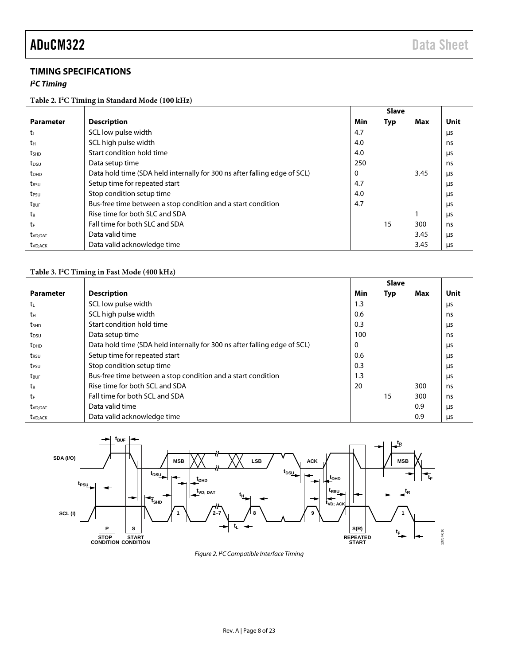### <span id="page-7-0"></span>**TIMING SPECIFICATIONS**

### *I 2 C Timing*

### **Table 2. I2 C Timing in Standard Mode (100 kHz)**

|                         |                                                                           |     | <b>Slave</b> |      |      |
|-------------------------|---------------------------------------------------------------------------|-----|--------------|------|------|
| <b>Parameter</b>        | <b>Description</b>                                                        | Min | Typ          | Max  | Unit |
| t                       | SCL low pulse width                                                       | 4.7 |              |      | μs   |
| tн                      | SCL high pulse width                                                      | 4.0 |              |      | ns   |
| <b>t</b> shp            | Start condition hold time                                                 | 4.0 |              |      | μs   |
| t <sub>DSU</sub>        | Data setup time                                                           | 250 |              |      | ns   |
| <b>t</b> <sub>DHD</sub> | Data hold time (SDA held internally for 300 ns after falling edge of SCL) | 0   |              | 3.45 | us   |
| t <sub>rsu</sub>        | Setup time for repeated start                                             | 4.7 |              |      | μs   |
| t <sub>PSU</sub>        | Stop condition setup time                                                 | 4.0 |              |      | μs   |
| t <sub>BUF</sub>        | Bus-free time between a stop condition and a start condition              | 4.7 |              |      | μs   |
| tr                      | Rise time for both SLC and SDA                                            |     |              |      | us   |
| tr                      | Fall time for both SLC and SDA                                            |     | 15           | 300  | ns   |
| t <sub>VD</sub> ;DAT    | Data valid time                                                           |     |              | 3.45 | μs   |
| t <sub>VD:ACK</sub>     | Data valid acknowledge time                                               |     |              | 3.45 | μs   |

### **Table 3. I2 C Timing in Fast Mode (400 kHz)**

|                         |                                                                           |     | <b>Slave</b> |     |      |
|-------------------------|---------------------------------------------------------------------------|-----|--------------|-----|------|
| <b>Parameter</b>        | <b>Description</b>                                                        | Min | Typ          | Max | Unit |
| t                       | SCL low pulse width                                                       | 1.3 |              |     | μs   |
| tн                      | SCL high pulse width                                                      | 0.6 |              |     | ns   |
| t <sub>SHD</sub>        | Start condition hold time                                                 | 0.3 |              |     | μs   |
| t <sub>DSU</sub>        | Data setup time                                                           | 100 |              |     | ns   |
| <b>t</b> <sub>DHD</sub> | Data hold time (SDA held internally for 300 ns after falling edge of SCL) | 0   |              |     | μs   |
| t <sub>RSU</sub>        | Setup time for repeated start                                             | 0.6 |              |     | μs   |
| t <sub>PSU</sub>        | Stop condition setup time                                                 | 0.3 |              |     | μs   |
| $t_{\text{BUF}}$        | Bus-free time between a stop condition and a start condition              | 1.3 |              |     | μs   |
| tr                      | Rise time for both SCL and SDA                                            | 20  |              | 300 | ns   |
| tr                      | Fall time for both SCL and SDA                                            |     | 15           | 300 | ns   |
| t <sub>VD</sub> ;DAT    | Data valid time                                                           |     |              | 0.9 | μs   |
| t <sub>VD</sub> ; ACK   | Data valid acknowledge time                                               |     |              | 0.9 | μs   |



*Figure 2. I2 C Compatible Interface Timing*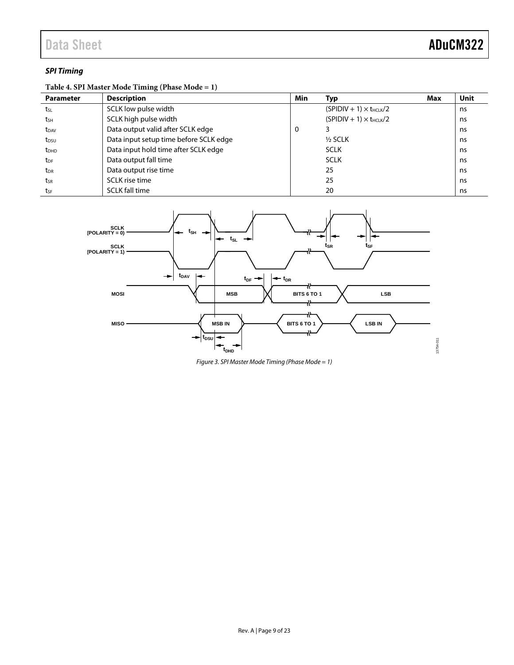### *SPI Timing*

### **Table 4. SPI Master Mode Timing (Phase Mode = 1)**

| <b>Parameter</b> | <b>Description</b>                     | Min | Тур                              | Max | Unit |
|------------------|----------------------------------------|-----|----------------------------------|-----|------|
| tsL              | SCLK low pulse width                   |     | $(SPIDIV + 1) \times t_{HCLK}/2$ |     | ns   |
| $t_{SH}$         | SCLK high pulse width                  |     | $(SPIDIV + 1) \times t_{HCIK}/2$ |     | ns   |
| t <sub>DAV</sub> | Data output valid after SCLK edge      | 0   |                                  |     | ns   |
| t <sub>DSU</sub> | Data input setup time before SCLK edge |     | $\frac{1}{2}$ SCLK               |     | ns   |
| t <sub>DHD</sub> | Data input hold time after SCLK edge   |     | <b>SCLK</b>                      |     | ns   |
| t <sub>DF</sub>  | Data output fall time                  |     | <b>SCLK</b>                      |     | ns   |
| t <sub>DR</sub>  | Data output rise time                  |     | 25                               |     | ns   |
| tsr              | SCLK rise time                         |     | 25                               |     | ns   |
| tsF              | <b>SCLK fall time</b>                  |     | 20                               |     | ns   |



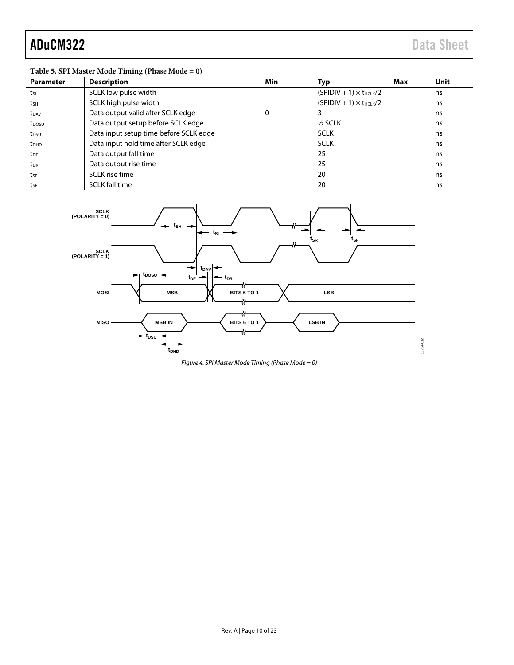### **Table 5. SPI Master Mode Timing (Phase Mode = 0)**

| <b>Parameter</b>  | <b>Description</b>                     | Min | Typ                              | Max | <b>Unit</b> |
|-------------------|----------------------------------------|-----|----------------------------------|-----|-------------|
| tsL               | SCLK low pulse width                   |     | $(SPIDIV + 1) \times t_{HCLK}/2$ |     | ns          |
| tsH               | SCLK high pulse width                  |     | $(SPIDIV + 1) \times t_{HCLK}/2$ |     | ns          |
| t <sub>DAV</sub>  | Data output valid after SCLK edge      | 0   |                                  |     | ns          |
| t <sub>DOSU</sub> | Data output setup before SCLK edge     |     | $1/2$ SCLK                       |     | ns          |
| t <sub>DSU</sub>  | Data input setup time before SCLK edge |     | <b>SCLK</b>                      |     | ns.         |
| t <sub>DHD</sub>  | Data input hold time after SCLK edge   |     | <b>SCLK</b>                      |     | ns          |
| t <sub>DF</sub>   | Data output fall time                  |     | 25                               |     | ns.         |
| $t_{\text{DR}}$   | Data output rise time                  |     | 25                               |     | ns          |
| tsr               | SCLK rise time                         |     | 20                               |     | ns          |
| tsF               | <b>SCLK fall time</b>                  |     | 20                               |     | ns          |



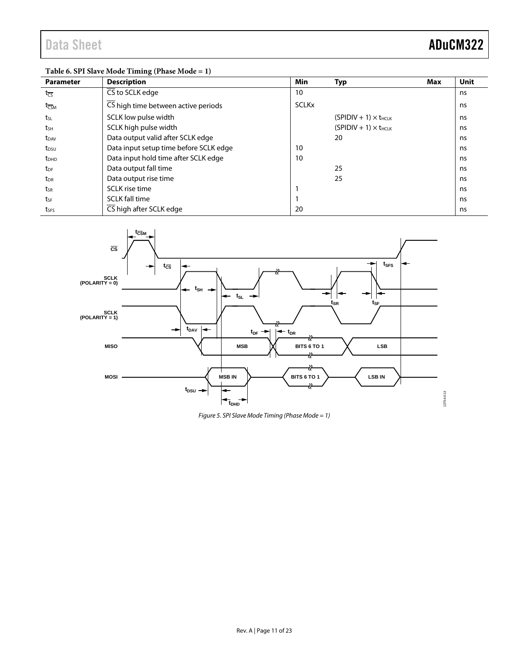### **Table 6. SPI Slave Mode Timing (Phase Mode = 1)**

| <b>Parameter</b>            | <b>Description</b>                     | <b>Min</b>   | Typ                            | Max | Unit |
|-----------------------------|----------------------------------------|--------------|--------------------------------|-----|------|
| $t_{\overline{CS}}$         | $\overline{\text{CS}}$ to SCLK edge    | 10           |                                |     | ns   |
| $t_{\overline{\text{CSM}}}$ | CS high time between active periods    | <b>SCLKx</b> |                                |     | ns   |
| t <sub>sL</sub>             | SCLK low pulse width                   |              | $(SPIDIV + 1) \times t_{HCLK}$ |     | ns   |
| tsh                         | SCLK high pulse width                  |              | $(SPIDIV + 1) \times t_{HCLK}$ |     | ns   |
| $t_{DAV}$                   | Data output valid after SCLK edge      |              | 20                             |     | ns   |
| t <sub>DSU</sub>            | Data input setup time before SCLK edge | 10           |                                |     | ns   |
| $t_{DHD}$                   | Data input hold time after SCLK edge   | 10           |                                |     | ns   |
| t <sub>DF</sub>             | Data output fall time                  |              | 25                             |     | ns   |
| $t_{\text{DR}}$             | Data output rise time                  |              | 25                             |     | ns   |
| tsr                         | SCLK rise time                         |              |                                |     | ns   |
| tsF                         | <b>SCLK fall time</b>                  |              |                                |     | ns   |
| tses                        | CS high after SCLK edge                | 20           |                                |     | ns   |



*Figure 5. SPI Slave Mode Timing (Phase Mode = 1)*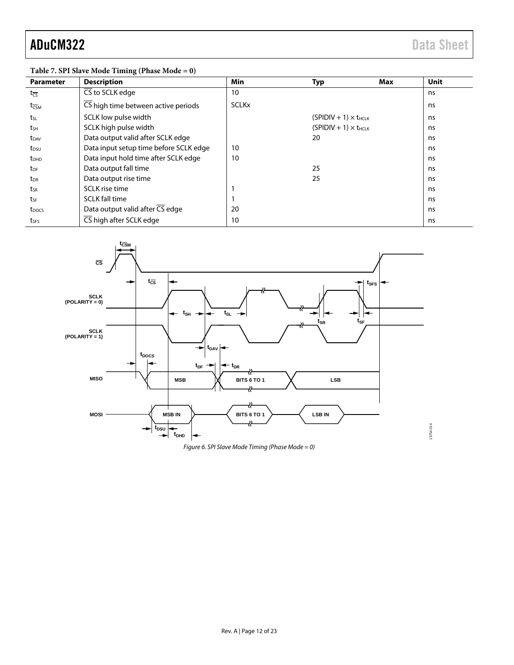13754-014

| <b>Parameter</b>            | <b>Description</b>                     | <b>Min</b>   | <b>Typ</b>                     | Max | <b>Unit</b> |
|-----------------------------|----------------------------------------|--------------|--------------------------------|-----|-------------|
| $t_{\overline{\text{CS}}}$  | CS to SCLK edge                        | 10           |                                |     | ns          |
| $t_{\overline{\text{CSM}}}$ | CS high time between active periods    | <b>SCLKx</b> |                                |     | ns          |
| t <sub>sL</sub>             | SCLK low pulse width                   |              | $(SPIDIV + 1) \times t_{HCLK}$ |     | ns          |
| tsh                         | SCLK high pulse width                  |              | $(SPIDIV + 1) \times t_{HCLK}$ |     | ns          |
| $t_{DAV}$                   | Data output valid after SCLK edge      |              | 20                             |     | ns          |
| t <sub>DSU</sub>            | Data input setup time before SCLK edge | 10           |                                |     | ns          |
| t <sub>DHD</sub>            | Data input hold time after SCLK edge   | 10           |                                |     | ns          |
| t <sub>DF</sub>             | Data output fall time                  |              | 25                             |     | ns          |
| t <sub>DR</sub>             | Data output rise time                  |              | 25                             |     | ns          |
| tsr                         | SCLK rise time                         |              |                                |     | ns          |
| tse                         | <b>SCLK</b> fall time                  |              |                                |     | ns          |
| t <sub>pocs</sub>           | Data output valid after CS edge        | 20           |                                |     | ns          |
| tses                        | CS high after SCLK edge                | 10           |                                |     | ns          |





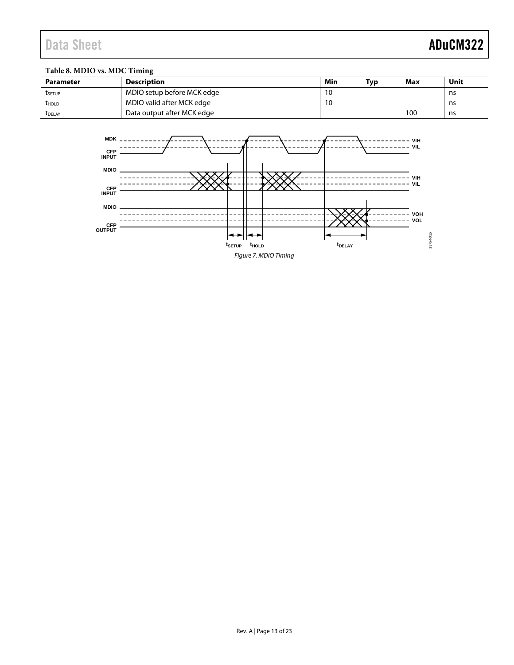### **Table 8. MDIO vs. MDC Timing**

| <b>Parameter</b> | Description                | Min | Tvp | Max | Unit |
|------------------|----------------------------|-----|-----|-----|------|
| tsetup           | MDIO setup before MCK edge | 10  |     |     | ns   |
| <b>THOLD</b>     | MDIO valid after MCK edge  | 10  |     |     | ns   |
| <b>T</b> DELAY   | Data output after MCK edge |     |     | 100 | ns   |

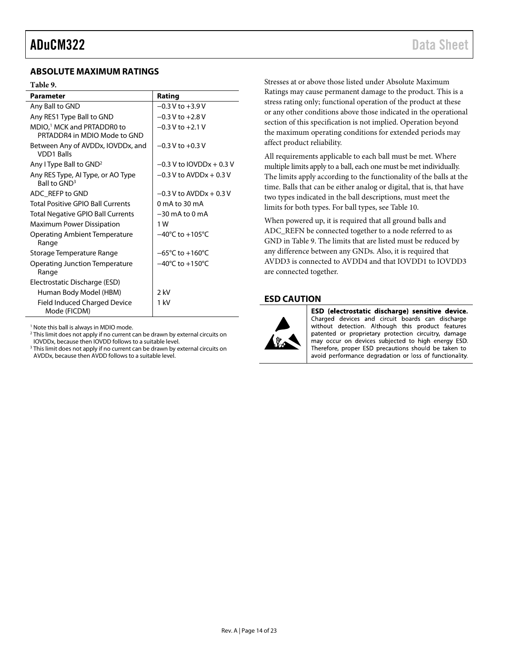### <span id="page-13-0"></span>**ABSOLUTE MAXIMUM RATINGS**

### <span id="page-13-2"></span>**Table 9.**

| <b>Parameter</b>                                                       | Rating                              |
|------------------------------------------------------------------------|-------------------------------------|
| Any Ball to GND                                                        | $-0.3 V$ to $+3.9 V$                |
| Any RES1 Type Ball to GND                                              | $-0.3 V$ to $+2.8 V$                |
| MDIO, <sup>1</sup> MCK and PRTADDR0 to<br>PRTADDR4 in MDIO Mode to GND | $-0.3$ V to $+2.1$ V                |
| Between Any of AVDDx, IOVDDx, and<br><b>VDD1 Balls</b>                 | $-0.3$ V to $+0.3$ V                |
| Any I Type Ball to GND <sup>2</sup>                                    | $-0.3$ V to IOVDDx + 0.3 V          |
| Any RES Type, AI Type, or AO Type<br>Ball to GND <sup>3</sup>          | $-0.3$ V to AVDDx + 0.3 V           |
| ADC REFP to GND                                                        | $-0.3$ V to AVDDx + 0.3 V           |
| Total Positive GPIO Ball Currents                                      | 0 mA to 30 mA                       |
| <b>Total Negative GPIO Ball Currents</b>                               | $-30$ mA to $0$ mA                  |
| <b>Maximum Power Dissipation</b>                                       | 1 W                                 |
| Operating Ambient Temperature<br>Range                                 | $-40^{\circ}$ C to $+105^{\circ}$ C |
| Storage Temperature Range                                              | $-65^{\circ}$ C to $+160^{\circ}$ C |
| Operating Junction Temperature<br>Range                                | $-40^{\circ}$ C to $+150^{\circ}$ C |
| Electrostatic Discharge (ESD)                                          |                                     |
| Human Body Model (HBM)                                                 | 2 kV                                |
| <b>Field Induced Charged Device</b><br>Mode (FICDM)                    | 1 kV                                |

<sup>1</sup> Note this ball is always in MDIO mode.

<sup>2</sup> This limit does not apply if no current can be drawn by external circuits on IOVDDx, because then IOVDD follows to a suitable level.

<sup>3</sup> This limit does not apply if no current can be drawn by external circuits on AVDDx, because then AVDD follows to a suitable level.

Stresses at or above those listed under Absolute Maximum Ratings may cause permanent damage to the product. This is a stress rating only; functional operation of the product at these or any other conditions above those indicated in the operational section of this specification is not implied. Operation beyond the maximum operating conditions for extended periods may affect product reliability.

All requirements applicable to each ball must be met. Where multiple limits apply to a ball, each one must be met individually. The limits apply according to the functionality of the balls at the time. Balls that can be either analog or digital, that is, that have two types indicated in the ball descriptions, must meet the limits for both types. For ball types, se[e Table 10.](#page-14-1)

When powered up, it is required that all ground balls and ADC\_REFN be connected together to a node referred to as GND in [Table 9.](#page-13-2) The limits that are listed must be reduced by any difference between any GNDs. Also, it is required that AVDD3 is connected to AVDD4 and that IOVDD1 to IOVDD3 are connected together.

### <span id="page-13-1"></span>**ESD CAUTION**



ESD (electrostatic discharge) sensitive device. Charged devices and circuit boards can discharge without detection. Although this product features patented or proprietary protection circuitry, damage may occur on devices subjected to high energy ESD. Therefore, proper ESD precautions should be taken to avoid performance degradation or loss of functionality.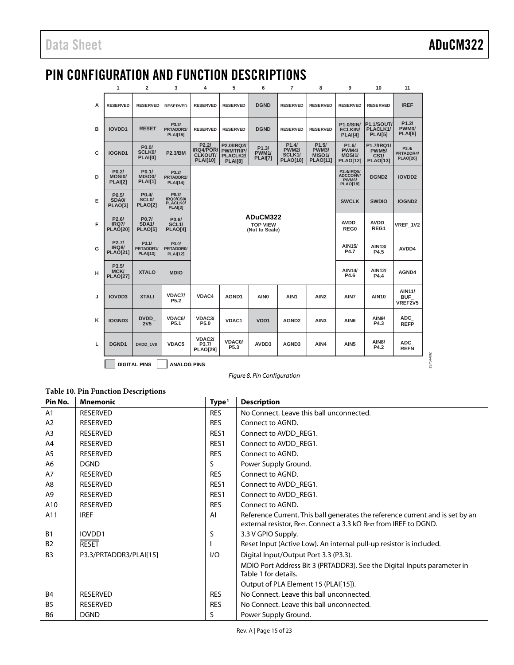13754-002

13754-002

# <span id="page-14-0"></span>PIN CONFIGURATION AND FUNCTION DESCRIPTIONS

|   | 1                                                     | $\overline{2}$                                              | 3                                                       | 4                                                       | 5                                                                          | 6                                             | $\overline{7}$                                                  | 8                                                               | 9                                                               | 10                                                    | 11                                     |
|---|-------------------------------------------------------|-------------------------------------------------------------|---------------------------------------------------------|---------------------------------------------------------|----------------------------------------------------------------------------|-----------------------------------------------|-----------------------------------------------------------------|-----------------------------------------------------------------|-----------------------------------------------------------------|-------------------------------------------------------|----------------------------------------|
| A | <b>RESERVED</b>                                       | <b>RESERVED</b>                                             | <b>RESERVED</b>                                         | <b>RESERVED</b>                                         | <b>RESERVED</b>                                                            | <b>DGND</b>                                   | <b>RESERVED</b>                                                 | <b>RESERVED</b>                                                 | <b>RESERVED</b>                                                 | <b>RESERVED</b>                                       | <b>IREF</b>                            |
| в | IOVDD1                                                | <b>RESET</b>                                                | P3.3/<br>PRTADDR3/<br><b>PLAI[15]</b>                   | <b>RESERVED</b>                                         | <b>RESERVED</b>                                                            | <b>DGND</b>                                   | <b>RESERVED</b>                                                 | <b>RESERVED</b>                                                 | <b>P1.0/SIN/</b><br><b>ECLKIN</b><br>PLAI[4]                    | <b>P1.1/SOUT/</b><br>PLACLK1/<br><b>PLAI[5]</b>       | P1.2I<br>PWM <sub>0</sub> /<br>PLAI[6] |
| c | IOGND1                                                | P <sub>0.0</sub> /<br><b>SCLK0/</b><br>PLAI[0]              | <b>P2.3/BM</b>                                          | P2.2I<br>IRQ4/POR/<br><b>CLKOUT/</b><br><b>PLAI[10]</b> | P2.0/IRQ2/<br><b>PWMTRIP/</b><br>PLACLK2/<br><b>PLAI[8]</b>                | P1.3/<br><b>PWM1/</b><br>PLAI[7]              | P1.4/<br><b>PWM2/</b><br>SCLK <sub>1</sub> /<br><b>PLAO[10]</b> | P1.5/<br><b>PWM3/</b><br>MISO <sub>1</sub> /<br><b>PLAO[11]</b> | P <sub>1.6</sub> /<br><b>PWM4/</b><br>MOSI1/<br><b>PLAO[12]</b> | P1.7/IRQ1/<br><b>PWM5/</b><br>CS1/<br><b>PLAO[13]</b> | P3.4/<br>PRTADDR4/<br><b>PLAO[26]</b>  |
| D | P <sub>0.2</sub><br><b>MOSIO/</b><br><b>PLAI[2]</b>   | P <sub>0.1</sub> /<br>MISO <sub>0</sub> /<br><b>PLAI[1]</b> | P3.21<br>PRTADDR2/<br><b>PLAI[14]</b>                   |                                                         |                                                                            |                                               |                                                                 |                                                                 | P2.4/IRQ5/<br><b>ADCCONV/</b><br>PWM6/<br><b>PLAO[18]</b>       | DGND <sub>2</sub>                                     | <b>IOVDD2</b>                          |
| Е | P <sub>0.5</sub> /<br>SDA0/<br><b>PLAO[3]</b>         | P <sub>0.4</sub><br>SCL <sub>0</sub> /<br><b>PLAO[2]</b>    | P0.3/<br>IRQ0/CS0/<br><b>PLACLK0/</b><br><b>PLAI[3]</b> |                                                         |                                                                            |                                               | <b>SWCLK</b>                                                    | <b>SWDIO</b>                                                    | <b>IOGND2</b>                                                   |                                                       |                                        |
| F | P <sub>2.6</sub> /<br><b>IRQ7/</b><br><b>PLAO[20]</b> | P <sub>0.7</sub> /<br>SDA <sub>1</sub> /<br><b>PLAO[5]</b>  | P0.6/<br>SCL <sub>1</sub> /<br>PLAO[4]                  |                                                         |                                                                            | ADuCM322<br><b>TOP VIEW</b><br>(Not to Scale) | <b>AVDD</b><br>REG0                                             | AVDD<br>REG1                                                    | VREF 1V2                                                        |                                                       |                                        |
| G | P <sub>2.7</sub> /<br><b>IRQ8/</b><br><b>PLAO[21]</b> | P3.1/<br>PRTADDR1/<br><b>PLAI[13]</b>                       | P3.0/<br>PRTADDR0/<br><b>PLAI[12]</b>                   |                                                         |                                                                            |                                               | AIN15/<br>P4.7                                                  | AIN13/<br>P4.5                                                  | AVDD4                                                           |                                                       |                                        |
| н | P3.5/<br><b>MCK/</b><br><b>PLAO[27]</b>               | <b>XTALO</b>                                                | <b>MDIO</b>                                             |                                                         |                                                                            |                                               |                                                                 | AIN14/<br>P4.6                                                  | AIN12/<br>P4.4                                                  | AGND4                                                 |                                        |
| J | <b>IOVDD3</b>                                         | <b>XTALI</b>                                                | VDAC7/<br>P <sub>5.2</sub>                              | VDAC4                                                   | AGND1                                                                      | AIN <sub>0</sub>                              | AIN7                                                            | <b>AIN10</b>                                                    | <b>AIN11/</b><br><b>BUF</b><br>VREF2V5                          |                                                       |                                        |
| κ | <b>IOGND3</b>                                         | <b>DVDD</b><br><b>2V5</b>                                   | VDAC6/<br>P <sub>5.1</sub>                              | VDAC3/<br>P5.0                                          | <b>VDAC1</b><br>VD <sub>D</sub> 1<br>AGND <sub>2</sub><br>AIN <sub>3</sub> |                                               |                                                                 |                                                                 |                                                                 | <b>AIN9/</b><br>P4.3                                  | ADC<br><b>REFP</b>                     |
| Ц | DGND1                                                 | DVDD 1V8                                                    | VDAC5                                                   | VDAC2/<br>P3.7/<br><b>PLAO[29]</b>                      | VDAC0/<br>P5.3                                                             | AVDD3                                         | AGND3                                                           | AIN4                                                            | AIN <sub>5</sub>                                                | <b>AIN8/</b><br>P4.2                                  | ADC<br><b>REFN</b>                     |
|   | <b>DIGITAL PINS</b><br><b>ANALOG PINS</b>             |                                                             |                                                         |                                                         |                                                                            |                                               |                                                                 |                                                                 |                                                                 |                                                       |                                        |

*Figure 8. Pin Configuration*

<span id="page-14-1"></span>**Table 10. Pin Function Descriptions**

| Pin No.        | <b>Mnemonic</b>        | Type <sup>1</sup> | <b>Description</b>                                                                                                                                                                  |
|----------------|------------------------|-------------------|-------------------------------------------------------------------------------------------------------------------------------------------------------------------------------------|
| A1             | <b>RESERVED</b>        | <b>RES</b>        | No Connect. Leave this ball unconnected.                                                                                                                                            |
| A2             | <b>RESERVED</b>        | <b>RES</b>        | Connect to AGND.                                                                                                                                                                    |
| A <sub>3</sub> | <b>RESERVED</b>        | RES <sub>1</sub>  | Connect to AVDD_REG1.                                                                                                                                                               |
| A4             | <b>RESERVED</b>        | RES <sub>1</sub>  | Connect to AVDD REG1.                                                                                                                                                               |
| A <sub>5</sub> | <b>RESERVED</b>        | <b>RES</b>        | Connect to AGND.                                                                                                                                                                    |
| A6             | <b>DGND</b>            | S                 | Power Supply Ground.                                                                                                                                                                |
| A7             | <b>RESERVED</b>        | <b>RES</b>        | Connect to AGND.                                                                                                                                                                    |
| A8             | <b>RESERVED</b>        | RES <sub>1</sub>  | Connect to AVDD REG1.                                                                                                                                                               |
| A <sub>9</sub> | <b>RESERVED</b>        | RES1              | Connect to AVDD REG1.                                                                                                                                                               |
| A10            | <b>RESERVED</b>        | <b>RES</b>        | Connect to AGND.                                                                                                                                                                    |
| A11            | <b>IREF</b>            | AI                | Reference Current. This ball generates the reference current and is set by an<br>external resistor, $R_{\text{EXT}}$ . Connect a 3.3 k $\Omega$ $R_{\text{EXT}}$ from IREF to DGND. |
| <b>B1</b>      | IOVDD1                 | S                 | 3.3 V GPIO Supply.                                                                                                                                                                  |
| <b>B2</b>      | <b>RESET</b>           |                   | Reset Input (Active Low). An internal pull-up resistor is included.                                                                                                                 |
| B <sub>3</sub> | P3.3/PRTADDR3/PLAI[15] | 1/O               | Digital Input/Output Port 3.3 (P3.3).                                                                                                                                               |
|                |                        |                   | MDIO Port Address Bit 3 (PRTADDR3). See the Digital Inputs parameter in<br>Table 1 for details.                                                                                     |
|                |                        |                   | Output of PLA Element 15 (PLAI[15]).                                                                                                                                                |
| <b>B4</b>      | <b>RESERVED</b>        | <b>RES</b>        | No Connect. Leave this ball unconnected.                                                                                                                                            |
| <b>B5</b>      | <b>RESERVED</b>        | <b>RES</b>        | No Connect. Leave this ball unconnected.                                                                                                                                            |
| <b>B6</b>      | <b>DGND</b>            | S                 | Power Supply Ground.                                                                                                                                                                |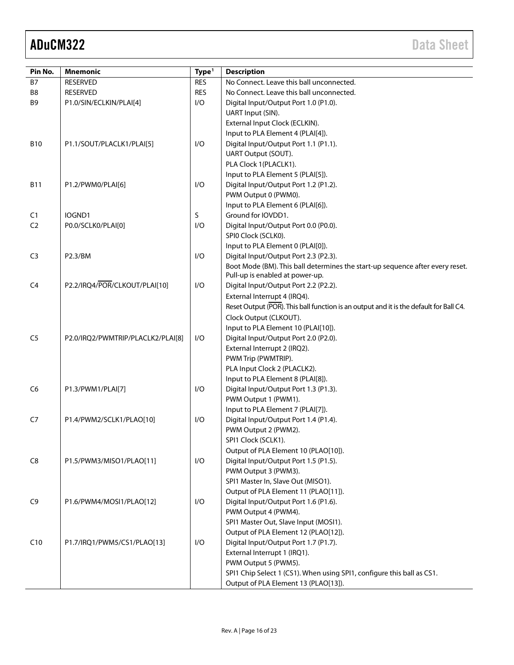| Pin No.        | <b>Mnemonic</b>                   | Type <sup>1</sup> | <b>Description</b>                                                                     |
|----------------|-----------------------------------|-------------------|----------------------------------------------------------------------------------------|
| <b>B7</b>      | <b>RESERVED</b>                   | <b>RES</b>        | No Connect. Leave this ball unconnected.                                               |
| B8             | <b>RESERVED</b>                   | <b>RES</b>        | No Connect. Leave this ball unconnected.                                               |
| B9             | P1.0/SIN/ECLKIN/PLAI[4]           | I/O               | Digital Input/Output Port 1.0 (P1.0).                                                  |
|                |                                   |                   | UART Input (SIN).                                                                      |
|                |                                   |                   | External Input Clock (ECLKIN).                                                         |
|                |                                   |                   | Input to PLA Element 4 (PLAI[4]).                                                      |
| <b>B10</b>     | P1.1/SOUT/PLACLK1/PLAI[5]         | I/O               | Digital Input/Output Port 1.1 (P1.1).                                                  |
|                |                                   |                   | UART Output (SOUT).                                                                    |
|                |                                   |                   | PLA Clock 1(PLACLK1).                                                                  |
|                |                                   |                   | Input to PLA Element 5 (PLAI[5]).                                                      |
| <b>B11</b>     | P1.2/PWM0/PLAI[6]                 | I/O               | Digital Input/Output Port 1.2 (P1.2).                                                  |
|                |                                   |                   | PWM Output 0 (PWM0).                                                                   |
|                |                                   |                   | Input to PLA Element 6 (PLAI[6]).                                                      |
| C1             | IOGND1                            | S                 | Ground for IOVDD1.                                                                     |
| C <sub>2</sub> | P0.0/SCLK0/PLAI[0]                | I/O               | Digital Input/Output Port 0.0 (P0.0).                                                  |
|                |                                   |                   | SPIO Clock (SCLKO).                                                                    |
|                |                                   |                   | Input to PLA Element 0 (PLAI[0]).                                                      |
| C <sub>3</sub> | P2.3/BM                           | I/O               | Digital Input/Output Port 2.3 (P2.3).                                                  |
|                |                                   |                   | Boot Mode (BM). This ball determines the start-up sequence after every reset.          |
|                |                                   |                   | Pull-up is enabled at power-up.                                                        |
| C <sub>4</sub> | P2.2/IRQ4/POR/CLKOUT/PLAI[10]     | I/O               | Digital Input/Output Port 2.2 (P2.2).                                                  |
|                |                                   |                   | External Interrupt 4 (IRQ4).                                                           |
|                |                                   |                   | Reset Output (POR). This ball function is an output and it is the default for Ball C4. |
|                |                                   |                   | Clock Output (CLKOUT).                                                                 |
|                |                                   |                   | Input to PLA Element 10 (PLAI[10]).                                                    |
| C <sub>5</sub> | P2.0/IRQ2/PWMTRIP/PLACLK2/PLAI[8] | I/O               | Digital Input/Output Port 2.0 (P2.0).                                                  |
|                |                                   |                   | External Interrupt 2 (IRQ2).                                                           |
|                |                                   |                   | PWM Trip (PWMTRIP).                                                                    |
|                |                                   |                   | PLA Input Clock 2 (PLACLK2).                                                           |
|                |                                   |                   | Input to PLA Element 8 (PLAI[8]).                                                      |
| C <sub>6</sub> | P1.3/PWM1/PLAI[7]                 | I/O               | Digital Input/Output Port 1.3 (P1.3).                                                  |
|                |                                   |                   | PWM Output 1 (PWM1).                                                                   |
|                |                                   |                   | Input to PLA Element 7 (PLAI[7]).                                                      |
| C7             | P1.4/PWM2/SCLK1/PLAO[10]          | I/O               | Digital Input/Output Port 1.4 (P1.4).                                                  |
|                |                                   |                   | PWM Output 2 (PWM2).                                                                   |
|                |                                   |                   | SPI1 Clock (SCLK1).                                                                    |
|                |                                   |                   | Output of PLA Element 10 (PLAO[10]).                                                   |
| C8             | P1.5/PWM3/MISO1/PLAO[11]          | I/O               | Digital Input/Output Port 1.5 (P1.5).                                                  |
|                |                                   |                   | PWM Output 3 (PWM3).                                                                   |
|                |                                   |                   | SPI1 Master In, Slave Out (MISO1).                                                     |
|                |                                   |                   | Output of PLA Element 11 (PLAO[11]).                                                   |
| C <sub>9</sub> | P1.6/PWM4/MOSI1/PLAO[12]          | I/O               | Digital Input/Output Port 1.6 (P1.6).                                                  |
|                |                                   |                   | PWM Output 4 (PWM4).                                                                   |
|                |                                   |                   | SPI1 Master Out, Slave Input (MOSI1).                                                  |
|                |                                   |                   |                                                                                        |
|                |                                   |                   | Output of PLA Element 12 (PLAO[12]).                                                   |
| C10            | P1.7/IRQ1/PWM5/CS1/PLAO[13]       | I/O               | Digital Input/Output Port 1.7 (P1.7).                                                  |
|                |                                   |                   | External Interrupt 1 (IRQ1).                                                           |
|                |                                   |                   | PWM Output 5 (PWM5).                                                                   |
|                |                                   |                   | SPI1 Chip Select 1 (CS1). When using SPI1, configure this ball as CS1.                 |
|                |                                   |                   | Output of PLA Element 13 (PLAO[13]).                                                   |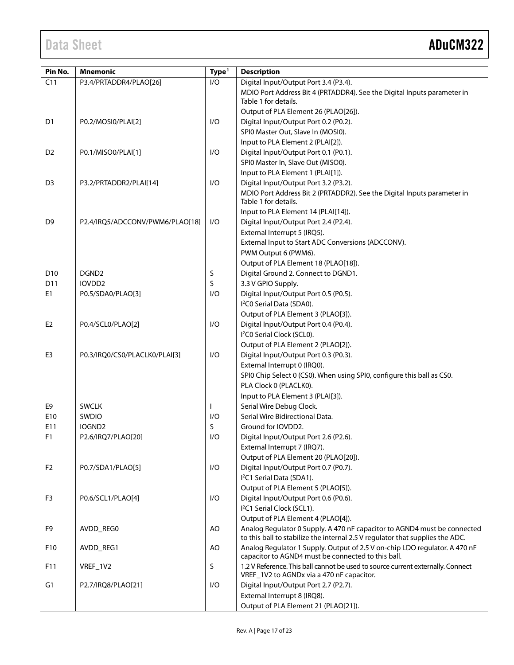| Pin No.         | <b>Mnemonic</b>                 | Type <sup>1</sup> | <b>Description</b>                                                              |
|-----------------|---------------------------------|-------------------|---------------------------------------------------------------------------------|
| C11             | P3.4/PRTADDR4/PLAO[26]          | I/O               | Digital Input/Output Port 3.4 (P3.4).                                           |
|                 |                                 |                   | MDIO Port Address Bit 4 (PRTADDR4). See the Digital Inputs parameter in         |
|                 |                                 |                   | Table 1 for details.                                                            |
|                 |                                 |                   | Output of PLA Element 26 (PLAO[26]).                                            |
| D <sub>1</sub>  | P0.2/MOSI0/PLAI[2]              | I/O               | Digital Input/Output Port 0.2 (P0.2).                                           |
|                 |                                 |                   | SPI0 Master Out, Slave In (MOSI0).                                              |
|                 |                                 |                   | Input to PLA Element 2 (PLAI[2]).                                               |
| D <sub>2</sub>  | P0.1/MISO0/PLAI[1]              | I/O               | Digital Input/Output Port 0.1 (P0.1).                                           |
|                 |                                 |                   | SPI0 Master In, Slave Out (MISO0).                                              |
|                 |                                 |                   | Input to PLA Element 1 (PLAI[1]).                                               |
| D <sub>3</sub>  | P3.2/PRTADDR2/PLAI[14]          | I/O               | Digital Input/Output Port 3.2 (P3.2).                                           |
|                 |                                 |                   | MDIO Port Address Bit 2 (PRTADDR2). See the Digital Inputs parameter in         |
|                 |                                 |                   | Table 1 for details.                                                            |
|                 |                                 |                   | Input to PLA Element 14 (PLAI[14]).                                             |
| D <sub>9</sub>  | P2.4/IRQ5/ADCCONV/PWM6/PLAO[18] | I/O               | Digital Input/Output Port 2.4 (P2.4).                                           |
|                 |                                 |                   | External Interrupt 5 (IRQ5).                                                    |
|                 |                                 |                   | External Input to Start ADC Conversions (ADCCONV).                              |
|                 |                                 |                   | PWM Output 6 (PWM6).                                                            |
|                 |                                 |                   | Output of PLA Element 18 (PLAO[18]).                                            |
| D <sub>10</sub> | DGND <sub>2</sub>               | S                 | Digital Ground 2. Connect to DGND1.                                             |
| D11             | IOVDD2                          | S                 | 3.3 V GPIO Supply.                                                              |
| E <sub>1</sub>  | P0.5/SDA0/PLAO[3]               | I/O               | Digital Input/Output Port 0.5 (P0.5).                                           |
|                 |                                 |                   | I <sup>2</sup> C0 Serial Data (SDA0).                                           |
|                 |                                 |                   | Output of PLA Element 3 (PLAO[3]).                                              |
| E <sub>2</sub>  | P0.4/SCL0/PLAO[2]               | I/O               | Digital Input/Output Port 0.4 (P0.4).                                           |
|                 |                                 |                   | I <sup>2</sup> C0 Serial Clock (SCL0).                                          |
|                 |                                 |                   | Output of PLA Element 2 (PLAO[2]).                                              |
| E <sub>3</sub>  | P0.3/IRQ0/CS0/PLACLK0/PLAI[3]   | I/O               | Digital Input/Output Port 0.3 (P0.3).                                           |
|                 |                                 |                   | External Interrupt 0 (IRQ0).                                                    |
|                 |                                 |                   | SPI0 Chip Select 0 (CS0). When using SPI0, configure this ball as CS0.          |
|                 |                                 |                   | PLA Clock 0 (PLACLK0).                                                          |
|                 |                                 |                   | Input to PLA Element 3 (PLAI[3]).                                               |
| E9              | <b>SWCLK</b>                    |                   | Serial Wire Debug Clock.                                                        |
| E10             | SWDIO                           | I/O               | Serial Wire Bidirectional Data.                                                 |
| E11             | IOGND <sub>2</sub>              | S                 | Ground for IOVDD2.                                                              |
| F <sub>1</sub>  | P2.6/IRQ7/PLAO[20]              | 1/O               | Digital Input/Output Port 2.6 (P2.6).                                           |
|                 |                                 |                   | External Interrupt 7 (IRQ7).                                                    |
|                 |                                 |                   | Output of PLA Element 20 (PLAO[20]).                                            |
| F <sub>2</sub>  | P0.7/SDA1/PLAO[5]               | I/O               | Digital Input/Output Port 0.7 (P0.7).                                           |
|                 |                                 |                   | I <sup>2</sup> C1 Serial Data (SDA1).                                           |
|                 |                                 |                   | Output of PLA Element 5 (PLAO[5]).                                              |
| F3              | P0.6/SCL1/PLAO[4]               | I/O               | Digital Input/Output Port 0.6 (P0.6).                                           |
|                 |                                 |                   | I <sup>2</sup> C1 Serial Clock (SCL1).                                          |
|                 |                                 |                   | Output of PLA Element 4 (PLAO[4]).                                              |
| F9              | AVDD_REG0                       | AO                | Analog Regulator 0 Supply. A 470 nF capacitor to AGND4 must be connected        |
|                 |                                 |                   | to this ball to stabilize the internal 2.5 V regulator that supplies the ADC.   |
| F10             | AVDD_REG1                       | AO                | Analog Regulator 1 Supply. Output of 2.5 V on-chip LDO regulator. A 470 nF      |
|                 |                                 |                   | capacitor to AGND4 must be connected to this ball.                              |
| F11             | VREF_1V2                        | S                 | 1.2 V Reference. This ball cannot be used to source current externally. Connect |
|                 |                                 |                   | VREF_1V2 to AGNDx via a 470 nF capacitor.                                       |
| G <sub>1</sub>  | P2.7/IRQ8/PLAO[21]              | I/O               | Digital Input/Output Port 2.7 (P2.7).                                           |
|                 |                                 |                   | External Interrupt 8 (IRQ8).                                                    |
|                 |                                 |                   | Output of PLA Element 21 (PLAO[21]).                                            |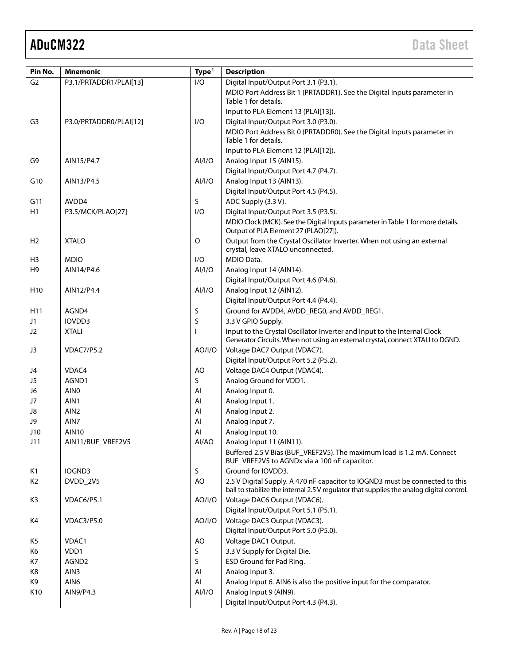| Pin No.         | <b>Mnemonic</b>           | Type <sup>1</sup> | <b>Description</b>                                                                                                                                                       |
|-----------------|---------------------------|-------------------|--------------------------------------------------------------------------------------------------------------------------------------------------------------------------|
| G <sub>2</sub>  | P3.1/PRTADDR1/PLAI[13]    | 1/O               | Digital Input/Output Port 3.1 (P3.1).                                                                                                                                    |
|                 |                           |                   | MDIO Port Address Bit 1 (PRTADDR1). See the Digital Inputs parameter in                                                                                                  |
|                 |                           |                   | Table 1 for details.                                                                                                                                                     |
|                 |                           |                   | Input to PLA Element 13 (PLAI[13]).                                                                                                                                      |
| G <sub>3</sub>  | P3.0/PRTADDR0/PLAI[12]    | I/O               | Digital Input/Output Port 3.0 (P3.0).                                                                                                                                    |
|                 |                           |                   | MDIO Port Address Bit 0 (PRTADDR0). See the Digital Inputs parameter in<br>Table 1 for details.                                                                          |
|                 |                           |                   | Input to PLA Element 12 (PLAI[12]).                                                                                                                                      |
| G9              | AIN15/P4.7                | AI/I/O            | Analog Input 15 (AIN15).                                                                                                                                                 |
|                 |                           |                   | Digital Input/Output Port 4.7 (P4.7).                                                                                                                                    |
| G10             | AIN13/P4.5                | AI/I/O            | Analog Input 13 (AIN13).                                                                                                                                                 |
|                 |                           |                   | Digital Input/Output Port 4.5 (P4.5).                                                                                                                                    |
| G11             | AVDD4                     | S                 | ADC Supply (3.3 V).                                                                                                                                                      |
| H1              | P3.5/MCK/PLAO[27]         | 1/O               | Digital Input/Output Port 3.5 (P3.5).                                                                                                                                    |
|                 |                           |                   | MDIO Clock (MCK). See the Digital Inputs parameter in Table 1 for more details.<br>Output of PLA Element 27 (PLAO[27]).                                                  |
| H <sub>2</sub>  | <b>XTALO</b>              | O                 | Output from the Crystal Oscillator Inverter. When not using an external<br>crystal, leave XTALO unconnected.                                                             |
| H <sub>3</sub>  | <b>MDIO</b>               | I/O               | MDIO Data.                                                                                                                                                               |
| H <sub>9</sub>  | AIN14/P4.6                | AI/I/O            | Analog Input 14 (AIN14).                                                                                                                                                 |
|                 |                           |                   | Digital Input/Output Port 4.6 (P4.6).                                                                                                                                    |
| H <sub>10</sub> | AIN12/P4.4                | AI/I/O            | Analog Input 12 (AIN12).                                                                                                                                                 |
|                 |                           |                   | Digital Input/Output Port 4.4 (P4.4).                                                                                                                                    |
| H <sub>11</sub> | AGND4                     | S                 | Ground for AVDD4, AVDD_REG0, and AVDD_REG1.                                                                                                                              |
| J1              | IOVDD3                    | S                 | 3.3 V GPIO Supply.                                                                                                                                                       |
| J2              | <b>XTALI</b>              |                   | Input to the Crystal Oscillator Inverter and Input to the Internal Clock                                                                                                 |
|                 |                           |                   | Generator Circuits. When not using an external crystal, connect XTALI to DGND.                                                                                           |
| J3              | <b>VDAC7/P5.2</b>         | AO/I/O            | Voltage DAC7 Output (VDAC7).                                                                                                                                             |
|                 |                           |                   | Digital Input/Output Port 5.2 (P5.2).                                                                                                                                    |
| J4              | VDAC4                     | AO                | Voltage DAC4 Output (VDAC4).                                                                                                                                             |
| J5              | AGND1<br>AIN <sub>0</sub> | S<br>AI           | Analog Ground for VDD1.                                                                                                                                                  |
| J6<br>J7        | AIN1                      | Al                | Analog Input 0.<br>Analog Input 1.                                                                                                                                       |
| J8              | AIN <sub>2</sub>          | AI                | Analog Input 2.                                                                                                                                                          |
| J9              | AIN7                      | AI                | Analog Input 7.                                                                                                                                                          |
| J10             | <b>AIN10</b>              | AI                | Analog Input 10.                                                                                                                                                         |
| J11             | AIN11/BUF_VREF2V5         | AI/AO             | Analog Input 11 (AIN11).                                                                                                                                                 |
|                 |                           |                   | Buffered 2.5 V Bias (BUF_VREF2V5). The maximum load is 1.2 mA. Connect<br>BUF_VREF2V5 to AGNDx via a 100 nF capacitor.                                                   |
| K1              | IOGND3                    | S                 | Ground for IOVDD3.                                                                                                                                                       |
| K <sub>2</sub>  | DVDD_2V5                  | AO                | 2.5 V Digital Supply. A 470 nF capacitor to IOGND3 must be connected to this<br>ball to stabilize the internal 2.5 V regulator that supplies the analog digital control. |
| K3              | VDAC6/P5.1                | AO/I/O            | Voltage DAC6 Output (VDAC6).                                                                                                                                             |
|                 |                           |                   | Digital Input/Output Port 5.1 (P5.1).                                                                                                                                    |
| K4              | <b>VDAC3/P5.0</b>         | AO/I/O            | Voltage DAC3 Output (VDAC3).                                                                                                                                             |
|                 |                           |                   | Digital Input/Output Port 5.0 (P5.0).                                                                                                                                    |
| K5              | VDAC1                     | AO                | Voltage DAC1 Output.                                                                                                                                                     |
| K6              | VDD1                      | S                 | 3.3 V Supply for Digital Die.                                                                                                                                            |
| K7              | AGND2                     | S                 | ESD Ground for Pad Ring.                                                                                                                                                 |
| K8              | AIN3                      | Al                | Analog Input 3.                                                                                                                                                          |
| K9              | AIN <sub>6</sub>          | Al                | Analog Input 6. AIN6 is also the positive input for the comparator.                                                                                                      |
| K10             | AIN9/P4.3                 | AI/I/O            | Analog Input 9 (AIN9).                                                                                                                                                   |
|                 |                           |                   | Digital Input/Output Port 4.3 (P4.3).                                                                                                                                    |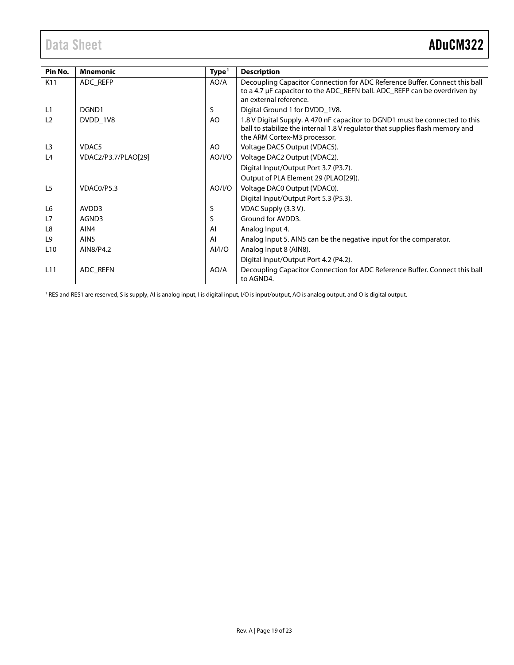<span id="page-18-0"></span>

| Pin No.         | <b>Mnemonic</b>     | Type <sup>1</sup> | <b>Description</b>                                                                                                                                                                           |
|-----------------|---------------------|-------------------|----------------------------------------------------------------------------------------------------------------------------------------------------------------------------------------------|
| K11             | ADC REFP            | AO/A              | Decoupling Capacitor Connection for ADC Reference Buffer. Connect this ball<br>to a 4.7 µF capacitor to the ADC_REFN ball. ADC_REFP can be overdriven by<br>an external reference.           |
| L1              | DGND1               | S                 | Digital Ground 1 for DVDD_1V8.                                                                                                                                                               |
| L <sub>2</sub>  | DVDD 1V8            | AO.               | 1.8 V Digital Supply. A 470 nF capacitor to DGND1 must be connected to this<br>ball to stabilize the internal 1.8 V regulator that supplies flash memory and<br>the ARM Cortex-M3 processor. |
| L <sub>3</sub>  | VDAC5               | AO                | Voltage DAC5 Output (VDAC5).                                                                                                                                                                 |
| L <sub>4</sub>  | VDAC2/P3.7/PLAO[29] | AO/I/O            | Voltage DAC2 Output (VDAC2).                                                                                                                                                                 |
|                 |                     |                   | Digital Input/Output Port 3.7 (P3.7).                                                                                                                                                        |
|                 |                     |                   | Output of PLA Element 29 (PLAO[29]).                                                                                                                                                         |
| L5              | VDAC0/P5.3          | AO/I/O            | Voltage DAC0 Output (VDAC0).                                                                                                                                                                 |
|                 |                     |                   | Digital Input/Output Port 5.3 (P5.3).                                                                                                                                                        |
| L <sub>6</sub>  | AVDD3               | S                 | VDAC Supply (3.3 V).                                                                                                                                                                         |
| L7              | AGND3               | S                 | Ground for AVDD3.                                                                                                                                                                            |
| L8              | AIN4                | Al                | Analog Input 4.                                                                                                                                                                              |
| L <sub>9</sub>  | AIN <sub>5</sub>    | AI                | Analog Input 5. AIN5 can be the negative input for the comparator.                                                                                                                           |
| L <sub>10</sub> | AIN8/P4.2           | AI/IO             | Analog Input 8 (AIN8).                                                                                                                                                                       |
|                 |                     |                   | Digital Input/Output Port 4.2 (P4.2).                                                                                                                                                        |
| L11             | ADC_REFN            | AO/A              | Decoupling Capacitor Connection for ADC Reference Buffer. Connect this ball<br>to AGND4.                                                                                                     |

<sup>1</sup> RES and RES1 are reserved, S is supply, AI is analog input, I is digital input, I/O is input/output, AO is analog output, and O is digital output.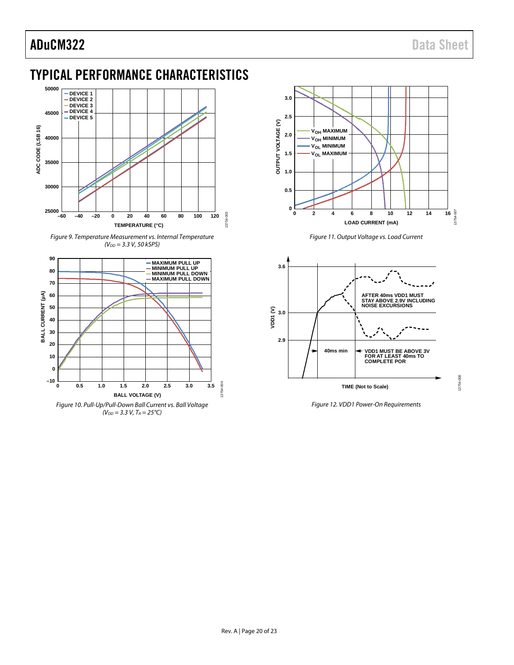13754-008

## <span id="page-19-0"></span>TYPICAL PERFORMANCE CHARACTERISTICS



<span id="page-19-2"></span>Figure 9. Temperature Measurement vs. Internal Temperature  $(V_{DD} = 3.3 V, 50 kSPS)$ 



<span id="page-19-3"></span>



Figure 11. Output Voltage vs. Load Current

<span id="page-19-4"></span>

<span id="page-19-1"></span>Figure 12. VDD1 Power-On Requirements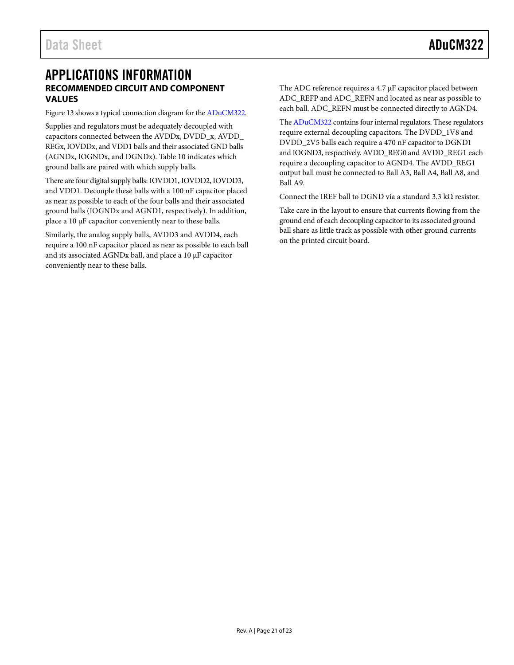## <span id="page-20-1"></span><span id="page-20-0"></span>APPLICATIONS INFORMATION **RECOMMENDED CIRCUIT AND COMPONENT VALUES**

[Figure 13](#page-21-0) shows a typical connection diagram for th[e ADuCM322.](http://www.analog.com/ADuCM322?doc=ADuCM322.pdf) 

Supplies and regulators must be adequately decoupled with capacitors connected between the AVDDx, DVDD\_x, AVDD\_ REGx, IOVDDx, and VDD1 balls and their associated GND balls (AGNDx, IOGNDx, and DGNDx)[. Table 10](#page-14-1) indicates which ground balls are paired with which supply balls.

There are four digital supply balls: IOVDD1, IOVDD2, IOVDD3, and VDD1. Decouple these balls with a 100 nF capacitor placed as near as possible to each of the four balls and their associated ground balls (IOGNDx and AGND1, respectively). In addition, place a 10 μF capacitor conveniently near to these balls.

Similarly, the analog supply balls, AVDD3 and AVDD4, each require a 100 nF capacitor placed as near as possible to each ball and its associated AGNDx ball, and place a 10 μF capacitor conveniently near to these balls.

The ADC reference requires a 4.7 μF capacitor placed between ADC\_REFP and ADC\_REFN and located as near as possible to each ball. ADC\_REFN must be connected directly to AGND4.

Th[e ADuCM322](http://www.analog.com/ADuCM322?doc=ADuCM322.pdf) contains four internal regulators. These regulators require external decoupling capacitors. The DVDD\_1V8 and DVDD\_2V5 balls each require a 470 nF capacitor to DGND1 and IOGND3, respectively. AVDD\_REG0 and AVDD\_REG1 each require a decoupling capacitor to AGND4. The AVDD\_REG1 output ball must be connected to Ball A3, Ball A4, Ball A8, and Ball A9.

Connect the IREF ball to DGND via a standard 3.3 k $\Omega$  resistor.

Take care in the layout to ensure that currents flowing from the ground end of each decoupling capacitor to its associated ground ball share as little track as possible with other ground currents on the printed circuit board.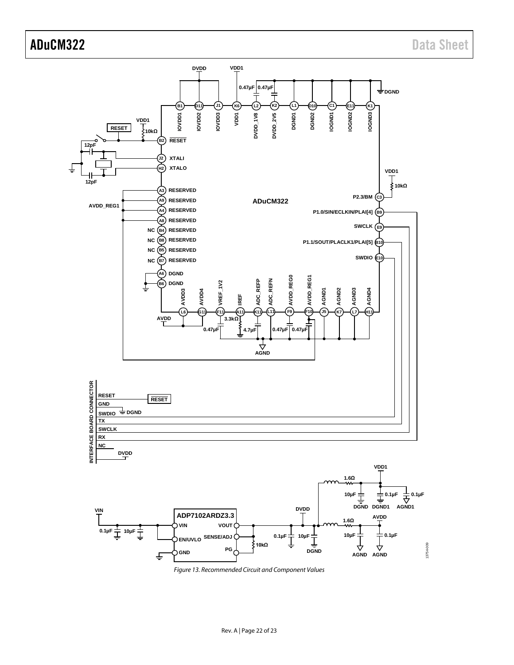

<span id="page-21-0"></span>*Figure 13. Recommended Circuit and Component Values*